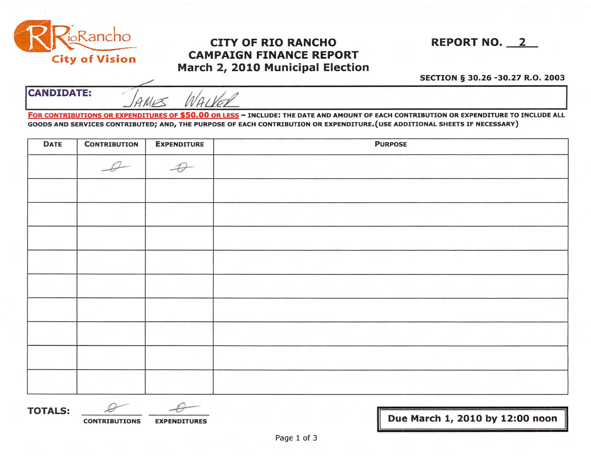

## FigRancho CITY OF RIO RANCHO REPORT NO. 2 City of Vision CAMPAIGN FINANCE REPORT March 2, 2010 Municipal Election

## SECTION § 30.26 -30.27 R.O. 2003

CANDIDATE: J*anux Warvel* 

FOR CONTRIBUTIONS OR EXPENDITURES OF \$50.00 OR LESS - INCLUDE: THE DATE AND AMOUNT OF EACH CONTRIBUTION OR EXPENDITURE TO INCLUDE ALL GOODS AND SERVICES CONTRIBUTED; AND, THE PURPOSE OF EACH CONTRIBUTION OR EXPENDITURE.(USE ADDITIONAL SHEETS IF NECESSARY)

| DATE            | <b>CONTRIBUTION</b> | <b>EXPENDITURE</b> | <b>PURPOSE</b>                                                |
|-----------------|---------------------|--------------------|---------------------------------------------------------------|
|                 |                     | $\mathcal{A}$      | 医无线细胞 医腹膜炎 化聚焦 医神经性 医心包 医心包 医血管<br>The process of the party   |
|                 |                     |                    |                                                               |
|                 |                     |                    | a 1970an da wasan ƙwallon ƙafa ta ƙasar                       |
|                 |                     |                    | $-120$<br><b>CONTRACTOR</b> CONTRACTOR                        |
|                 | 1987                |                    | 医结核菌素 医心包下垂 医心包 医心包 医心包 医中央性 医骨折<br><b>COLLEGE IN</b>         |
| <b>ALCOHOL:</b> | <b>AKLK</b>         | 18.3 - 1 - 12      | <b>TEM</b><br>and the second company                          |
|                 |                     |                    | The change of the con-<br>THE R. P. LEWIS CO., LANSING, MICH. |
|                 |                     |                    |                                                               |

TOTALS:  $\frac{D}{D}$   $\frac{D}{D}$ 

-<br>1

CONTRIBUTIONS EXPENDITURES **EXPENDITURES EXPENDITURES** 

II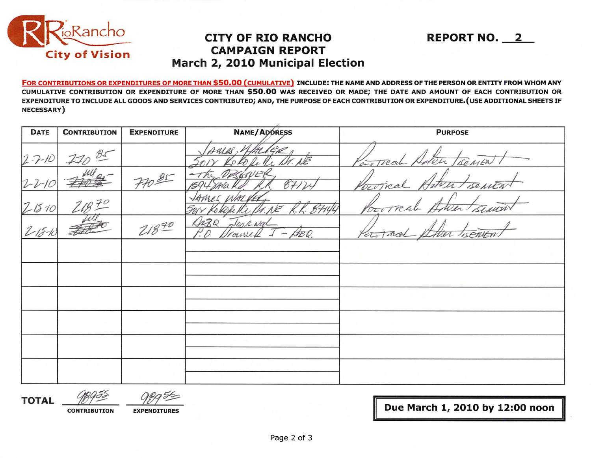

## **CAMPAIGN REPORT CITY OF RIO RANCHO March 2, 2010 Municipal Election**

FOR CONTRIBUTIONS OR EXPENDITURES OF MORE THAN \$50.00 (CUMULATIVE) INCLUDE: THE NAME AND ADDRESS OF THE PERSON OR ENTITY FROM WHOM ANY CUMULATIVE CONTRIBUTION OR EXPENDITURE OF MORE THAN \$50.00 WAS RECEIVED OR MADE; THE DATE AND AMOUNT OF EACH CONTRIBUTION OR EXPENDITURE TO INCLUDE ALL GOODS AND SERVICES CONTRIBUTED; AND, THE PURPOSE OF EACH CONTRIBUTION OR EXPENDITURE.(USE ADDITIONAL SHEETS IF NECESSARY)

| <b>DATE</b>  | <b>CONTRIBUTION</b><br><b>EXPENDITURE</b> |       | NAME/ADDRESS                                                | <b>PURPOSE</b>         |
|--------------|-------------------------------------------|-------|-------------------------------------------------------------|------------------------|
| $2 - 7 - 10$ | $\mathcal{B}_{\leq}$                      |       | AULAS<br>SER<br>NE                                          | Por Trea               |
|              |                                           | 770B5 | E<br>8714                                                   | OUTR                   |
| 21510        |                                           |       | 87144<br>nE                                                 | POLITR                 |
| $215 - 1$    |                                           | 71840 | $\mathcal{G}Z\mathcal{Q}$<br>JOURNAL<br>ABQ.<br>∽<br>course | isenien<br>Oti<br>alle |
|              |                                           |       |                                                             |                        |
|              |                                           |       |                                                             |                        |
|              |                                           |       |                                                             |                        |
|              |                                           |       |                                                             |                        |
|              |                                           |       |                                                             |                        |
|              |                                           |       |                                                             |                        |

**TOTAL** 

**CONTRIBUTION** EXPENDITURES **III 2010 <b>Due March 1, 2010 by 12:00 noon** 

**REPORT NO. 2**